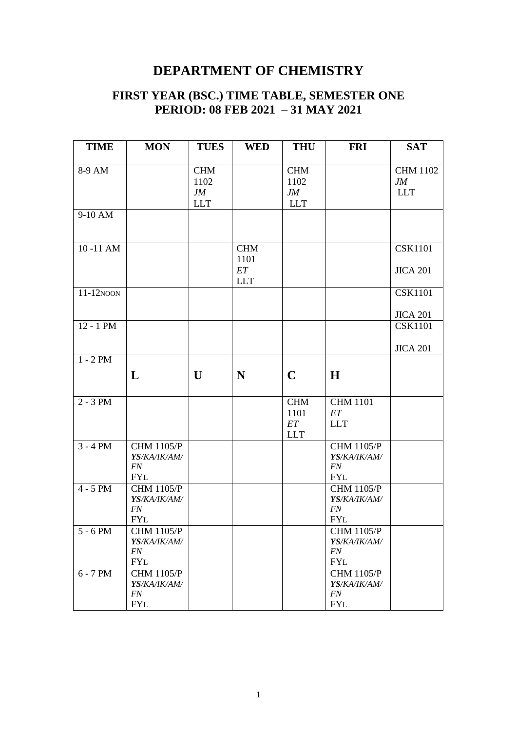#### **FIRST YEAR (BSC.) TIME TABLE, SEMESTER ONE PERIOD: 08 FEB 2021 – 31 MAY 2021**

| <b>TIME</b>           | <b>MON</b>        | <b>TUES</b> | <b>WED</b>         | <b>THU</b>  | <b>FRI</b>        | <b>SAT</b>       |
|-----------------------|-------------------|-------------|--------------------|-------------|-------------------|------------------|
|                       |                   |             |                    |             |                   |                  |
| 8-9 AM                |                   | <b>CHM</b>  |                    | <b>CHM</b>  |                   | <b>CHM 1102</b>  |
|                       |                   | 1102<br>JM  |                    | 1102<br>JM  |                   | JM<br><b>LLT</b> |
|                       |                   | <b>LLT</b>  |                    | <b>LLT</b>  |                   |                  |
| 9-10 AM               |                   |             |                    |             |                   |                  |
|                       |                   |             |                    |             |                   |                  |
|                       |                   |             |                    |             |                   |                  |
| 10-11 AM              |                   |             | <b>CHM</b><br>1101 |             |                   | <b>CSK1101</b>   |
|                       |                   |             | ET                 |             |                   | <b>JICA 201</b>  |
|                       |                   |             | <b>LLT</b>         |             |                   |                  |
| $11-12$ NOON          |                   |             |                    |             |                   | <b>CSK1101</b>   |
|                       |                   |             |                    |             |                   |                  |
|                       |                   |             |                    |             |                   | <b>JICA 201</b>  |
| 12 - 1 PM             |                   |             |                    |             |                   | <b>CSK1101</b>   |
|                       |                   |             |                    |             |                   | <b>JICA 201</b>  |
| $1 - 2 PM$            |                   |             |                    |             |                   |                  |
|                       | L                 | U           | N                  | $\mathbf C$ | H                 |                  |
|                       |                   |             |                    |             |                   |                  |
| $2 - 3 PM$            |                   |             |                    | <b>CHM</b>  | <b>CHM 1101</b>   |                  |
|                       |                   |             |                    | 1101        | ET                |                  |
|                       |                   |             |                    | ET          | <b>LLT</b>        |                  |
|                       |                   |             |                    | <b>LLT</b>  |                   |                  |
| $3 - 4 PM$            | <b>CHM 1105/P</b> |             |                    |             | <b>CHM 1105/P</b> |                  |
|                       | YS/KA/IK/AM/      |             |                    |             | YS/KA/IK/AM/      |                  |
|                       | FN<br><b>FYL</b>  |             |                    |             | FN<br><b>FYL</b>  |                  |
| $4 - 5$ PM            | <b>CHM 1105/P</b> |             |                    |             | <b>CHM 1105/P</b> |                  |
|                       | YS/KA/IK/AM/      |             |                    |             | YS/KA/IK/AM/      |                  |
|                       | FN                |             |                    |             | FN                |                  |
|                       | <b>FYL</b>        |             |                    |             | <b>FYL</b>        |                  |
| $\overline{5}$ - 6 PM | <b>CHM 1105/P</b> |             |                    |             | <b>CHM 1105/P</b> |                  |
|                       | YS/KA/IK/AM/      |             |                    |             | YS/KA/IK/AM/      |                  |
|                       | FN                |             |                    |             | FN                |                  |
|                       | <b>FYL</b>        |             |                    |             | <b>FYL</b>        |                  |
| $6 - 7 PM$            | <b>CHM 1105/P</b> |             |                    |             | <b>CHM 1105/P</b> |                  |
|                       | YS/KA/IK/AM/      |             |                    |             | YS/KA/IK/AM/      |                  |
|                       | FN<br><b>FYL</b>  |             |                    |             | FN<br><b>FYL</b>  |                  |
|                       |                   |             |                    |             |                   |                  |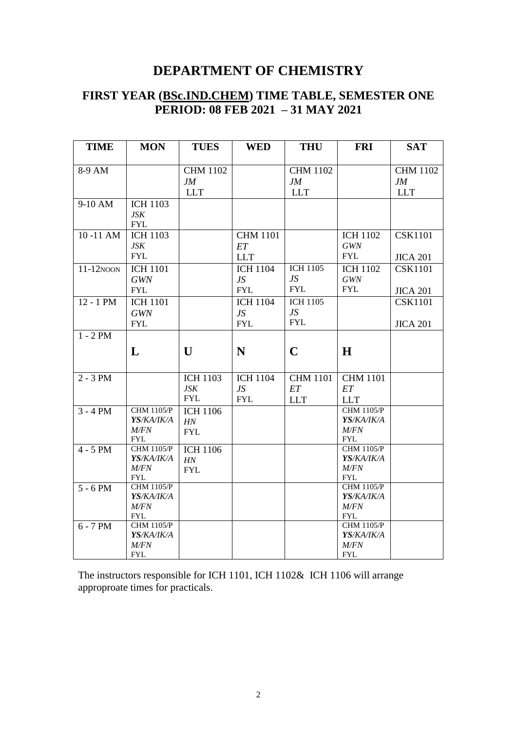#### **FIRST YEAR (BSc.IND.CHEM) TIME TABLE, SEMESTER ONE PERIOD: 08 FEB 2021 – 31 MAY 2021**

| <b>TIME</b>  | <b>MON</b>         | <b>TUES</b>     | <b>WED</b>      | <b>THU</b>      | <b>FRI</b>         | <b>SAT</b>      |
|--------------|--------------------|-----------------|-----------------|-----------------|--------------------|-----------------|
|              |                    |                 |                 |                 |                    |                 |
| 8-9 AM       |                    | <b>CHM 1102</b> |                 | <b>CHM 1102</b> |                    | <b>CHM 1102</b> |
|              |                    | JM              |                 | JM              |                    | JM              |
|              |                    | <b>LLT</b>      |                 | <b>LLT</b>      |                    | <b>LLT</b>      |
| 9-10 AM      | <b>ICH 1103</b>    |                 |                 |                 |                    |                 |
|              | JSK                |                 |                 |                 |                    |                 |
|              | <b>FYL</b>         |                 |                 |                 |                    |                 |
| 10-11 AM     | <b>ICH 1103</b>    |                 | <b>CHM 1101</b> |                 | <b>ICH 1102</b>    | <b>CSK1101</b>  |
|              | JSK                |                 | ET              |                 | GWN                |                 |
|              | ${\rm FYL}$        |                 | <b>LLT</b>      |                 | <b>FYL</b>         | <b>JICA 201</b> |
| $11-12$ NOON | <b>ICH 1101</b>    |                 | <b>ICH 1104</b> | <b>ICH 1105</b> | <b>ICH 1102</b>    | <b>CSK1101</b>  |
|              | <b>GWN</b>         |                 | JS              | JS              | GWN                |                 |
|              | ${\rm FYL}$        |                 | <b>FYL</b>      | <b>FYL</b>      | <b>FYL</b>         | <b>JICA 201</b> |
| 12 - 1 PM    | <b>ICH 1101</b>    |                 | <b>ICH 1104</b> | <b>ICH 1105</b> |                    | <b>CSK1101</b>  |
|              | <b>GWN</b>         |                 | JS              | JS              |                    |                 |
|              | <b>FYL</b>         |                 | <b>FYL</b>      | <b>FYL</b>      |                    | <b>JICA 201</b> |
| $1 - 2 PM$   |                    |                 |                 |                 |                    |                 |
|              |                    |                 |                 |                 |                    |                 |
|              | L                  | U               | N               | $\mathbf C$     | H                  |                 |
|              |                    |                 |                 |                 |                    |                 |
| $2 - 3 PM$   |                    | <b>ICH 1103</b> | <b>ICH 1104</b> | <b>CHM 1101</b> | <b>CHM 1101</b>    |                 |
|              |                    | JSK             | JS              | ET              | ET                 |                 |
|              |                    | <b>FYL</b>      | <b>FYL</b>      | <b>LLT</b>      | <b>LLT</b>         |                 |
| $3 - 4 PM$   | <b>CHM 1105/P</b>  | <b>ICH 1106</b> |                 |                 | <b>CHM 1105/P</b>  |                 |
|              | YS/KA/IK/A         | HN              |                 |                 | YS/KA/IK/A         |                 |
|              | M/FN               | <b>FYL</b>      |                 |                 | M/FN               |                 |
|              | <b>FYL</b>         |                 |                 |                 | <b>FYL</b>         |                 |
| $4 - 5$ PM   | <b>CHM 1105/P</b>  | <b>ICH 1106</b> |                 |                 | <b>CHM 1105/P</b>  |                 |
|              | YS/KA/IK/A         | HN              |                 |                 | YS/KA/IK/A         |                 |
|              | M/FN<br><b>FYL</b> | <b>FYL</b>      |                 |                 | M/FN<br><b>FYL</b> |                 |
| $5 - 6 PM$   | <b>CHM 1105/P</b>  |                 |                 |                 | <b>CHM 1105/P</b>  |                 |
|              | YS/KA/IK/A         |                 |                 |                 | YS/KA/IK/A         |                 |
|              | M/FN               |                 |                 |                 | M/FN               |                 |
|              | ${\rm FYL}$        |                 |                 |                 | ${\rm FYL}$        |                 |
| $6 - 7 PM$   | <b>CHM 1105/P</b>  |                 |                 |                 | <b>CHM 1105/P</b>  |                 |
|              | YS/KA/IK/A         |                 |                 |                 | YS/KA/IK/A         |                 |
|              | M/FN               |                 |                 |                 | M/FN               |                 |
|              | <b>FYL</b>         |                 |                 |                 | <b>FYL</b>         |                 |

The instructors responsible for ICH 1101, ICH 1102& ICH 1106 will arrange approproate times for practicals.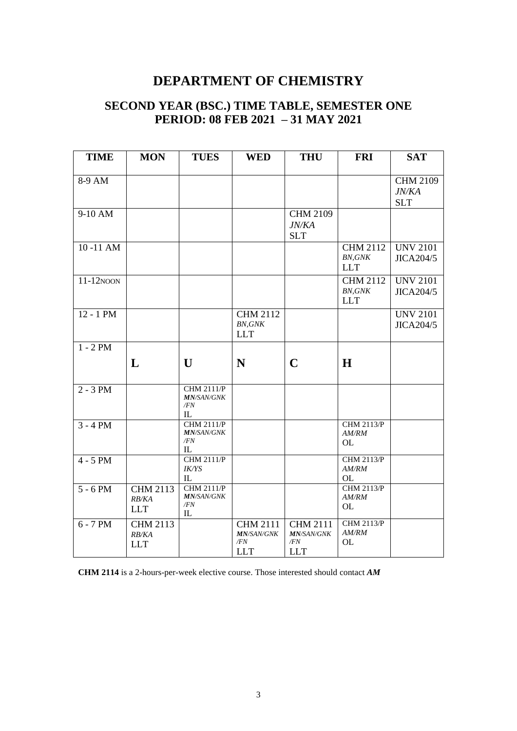### **SECOND YEAR (BSC.) TIME TABLE, SEMESTER ONE PERIOD: 08 FEB 2021 – 31 MAY 2021**

| <b>TIME</b>  | <b>MON</b>                             | <b>TUES</b>                                          | <b>WED</b>                                                | <b>THU</b>                                                | <b>FRI</b>                                      | <b>SAT</b>                             |
|--------------|----------------------------------------|------------------------------------------------------|-----------------------------------------------------------|-----------------------------------------------------------|-------------------------------------------------|----------------------------------------|
| 8-9 AM       |                                        |                                                      |                                                           |                                                           |                                                 | <b>CHM 2109</b><br>JN/KA<br><b>SLT</b> |
| 9-10 AM      |                                        |                                                      |                                                           | <b>CHM 2109</b><br>JN/KA<br><b>SLT</b>                    |                                                 |                                        |
| 10-11 AM     |                                        |                                                      |                                                           |                                                           | <b>CHM 2112</b><br><b>BN, GNK</b><br><b>LLT</b> | <b>UNV 2101</b><br>JICA204/5           |
| $11-12$ NOON |                                        |                                                      |                                                           |                                                           | <b>CHM 2112</b><br><b>BN, GNK</b><br><b>LLT</b> | <b>UNV 2101</b><br>JICA204/5           |
| $12 - 1$ PM  |                                        |                                                      | <b>CHM 2112</b><br><b>BN, GNK</b><br><b>LLT</b>           |                                                           |                                                 | <b>UNV 2101</b><br>JICA204/5           |
| $1 - 2 PM$   | L                                      | $\mathbf{U}$                                         | N                                                         | $\mathbf C$                                               | H                                               |                                        |
| $2 - 3 PM$   |                                        | <b>CHM 2111/P</b><br><b>MN/SAN/GNK</b><br>/FN<br>IL  |                                                           |                                                           |                                                 |                                        |
| $3 - 4 PM$   |                                        | <b>CHM 2111/P</b><br><b>MN/SAN/GNK</b><br>/FN<br>IL. |                                                           |                                                           | <b>CHM 2113/P</b><br>AM/RM<br><b>OL</b>         |                                        |
| $4 - 5$ PM   |                                        | <b>CHM 2111/P</b><br><b>IK/YS</b><br>IL              |                                                           |                                                           | <b>CHM 2113/P</b><br>AM/RM<br><b>OL</b>         |                                        |
| $5 - 6 PM$   | <b>CHM 2113</b><br>RB/KA<br><b>LLT</b> | <b>CHM 2111/P</b><br><b>MN/SAN/GNK</b><br>/FN<br>IL  |                                                           |                                                           | <b>CHM 2113/P</b><br><b>AM/RM</b><br>OL         |                                        |
| $6 - 7 PM$   | <b>CHM 2113</b><br>RB/KA<br><b>LLT</b> |                                                      | <b>CHM 2111</b><br><b>MN/SAN/GNK</b><br>/FN<br><b>LLT</b> | <b>CHM 2111</b><br><b>MN/SAN/GNK</b><br>/FN<br><b>LLT</b> | <b>CHM 2113/P</b><br>AM/RM<br><b>OL</b>         |                                        |

**CHM 2114** is a 2-hours-per-week elective course. Those interested should contact *AM*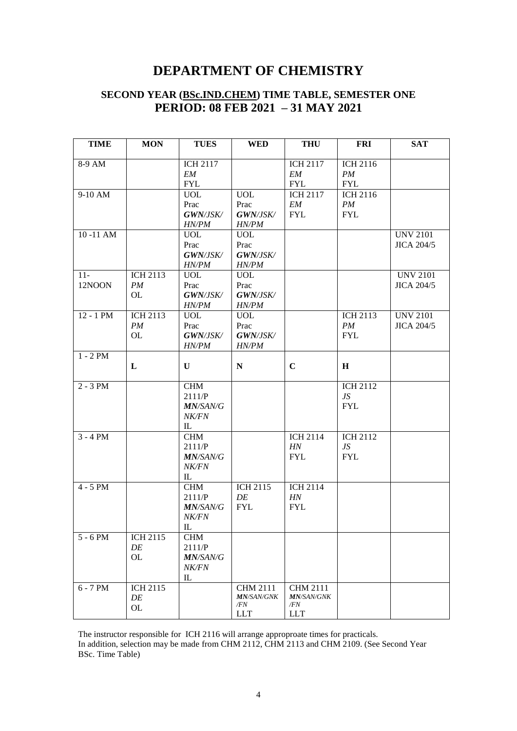#### **SECOND YEAR (BSc.IND.CHEM) TIME TABLE, SEMESTER ONE PERIOD: 08 FEB 2021 – 31 MAY 2021**

| <b>TIME</b> | <b>MON</b>             | <b>TUES</b>             | <b>WED</b>              | <b>THU</b>        | <b>FRI</b>            | <b>SAT</b>        |
|-------------|------------------------|-------------------------|-------------------------|-------------------|-----------------------|-------------------|
| 8-9 AM      |                        | <b>ICH 2117</b>         |                         | <b>ICH 2117</b>   | <b>ICH 2116</b>       |                   |
|             |                        | EM                      |                         | EM                | PM                    |                   |
|             |                        | <b>FYL</b>              |                         | <b>FYL</b>        | <b>FYL</b>            |                   |
| 9-10 AM     |                        | <b>UOL</b>              | <b>UOL</b>              | <b>ICH 2117</b>   | <b>ICH 2116</b>       |                   |
|             |                        | Prac                    | Prac                    | EM                | PM                    |                   |
|             |                        | GWN/JSK/                | GWN/JSK/                | <b>FYL</b>        | <b>FYL</b>            |                   |
|             |                        | HN/PM                   | <b>HN/PM</b>            |                   |                       |                   |
| 10-11 AM    |                        | <b>UOL</b>              | <b>UOL</b>              |                   |                       | <b>UNV 2101</b>   |
|             |                        | Prac<br><b>GWN/JSK/</b> | Prac<br><b>GWN/JSK/</b> |                   |                       | <b>JICA 204/5</b> |
|             |                        | HN/PM                   | <b>HN/PM</b>            |                   |                       |                   |
| $11 -$      | <b>ICH 2113</b>        | <b>UOL</b>              | <b>UOL</b>              |                   |                       | <b>UNV 2101</b>   |
| 12NOON      | PM                     | Prac                    | Prac                    |                   |                       | <b>JICA 204/5</b> |
|             | OL.                    | <b>GWN/JSK/</b>         | GWN/JSK/                |                   |                       |                   |
|             |                        | HN/PM                   | HN/PM                   |                   |                       |                   |
| $12 - 1$ PM | <b>ICH 2113</b>        | <b>UOL</b>              | <b>UOL</b>              |                   | <b>ICH 2113</b>       | <b>UNV 2101</b>   |
|             | PM                     | Prac                    | Prac                    |                   | PM                    | <b>JICA 204/5</b> |
|             | OL                     | <b>GWN/JSK/</b>         | <b>GWN/JSK/</b>         |                   | <b>FYL</b>            |                   |
|             |                        | HN/PM                   | <b>HN/PM</b>            |                   |                       |                   |
| $1 - 2 PM$  |                        |                         |                         |                   |                       |                   |
|             | L                      | U                       | ${\bf N}$               | $\mathbf C$       | $\mathbf H$           |                   |
| $2 - 3 PM$  |                        | <b>CHM</b>              |                         |                   | <b>ICH 2112</b>       |                   |
|             |                        | 2111/P                  |                         |                   | JS                    |                   |
|             |                        | <b>MN/SAN/G</b>         |                         |                   | <b>FYL</b>            |                   |
|             |                        | <i>NK/FN</i>            |                         |                   |                       |                   |
|             |                        | IL                      |                         |                   |                       |                   |
| $3 - 4 PM$  |                        | <b>CHM</b>              |                         | <b>ICH 2114</b>   | ICH $21\overline{12}$ |                   |
|             |                        | 2111/P                  |                         | HN                | JS                    |                   |
|             |                        | <i>MN/SAN/G</i>         |                         | <b>FYL</b>        | <b>FYL</b>            |                   |
|             |                        | <b>NK/FN</b>            |                         |                   |                       |                   |
|             |                        | IL                      |                         |                   |                       |                   |
| $4 - 5$ PM  |                        | <b>CHM</b>              | <b>ICH 2115</b>         | <b>ICH 2114</b>   |                       |                   |
|             |                        | 2111/P                  | DE                      | HN                |                       |                   |
|             |                        | <b>MN/SAN/G</b>         | <b>FYL</b>              | <b>FYL</b>        |                       |                   |
|             |                        | NK/FN                   |                         |                   |                       |                   |
| $5 - 6$ PM  |                        | $\mathbb{L}$            |                         |                   |                       |                   |
|             | ICH 2115<br>$\cal{DE}$ | <b>CHM</b><br>2111/P    |                         |                   |                       |                   |
|             | OL                     | MN/SAN/G                |                         |                   |                       |                   |
|             |                        | NK/FN                   |                         |                   |                       |                   |
|             |                        | IL                      |                         |                   |                       |                   |
| $6 - 7 PM$  | <b>ICH 2115</b>        |                         | <b>CHM 2111</b>         | <b>CHM 2111</b>   |                       |                   |
|             | DE                     |                         | <b>MN/SAN/GNK</b>       | <b>MN/SAN/GNK</b> |                       |                   |
|             | OL                     |                         | /FN                     | /FN               |                       |                   |
|             |                        |                         | <b>LLT</b>              | <b>LLT</b>        |                       |                   |

The instructor responsible for ICH 2116 will arrange approproate times for practicals.

In addition, selection may be made from CHM 2112, CHM 2113 and CHM 2109. (See Second Year BSc. Time Table)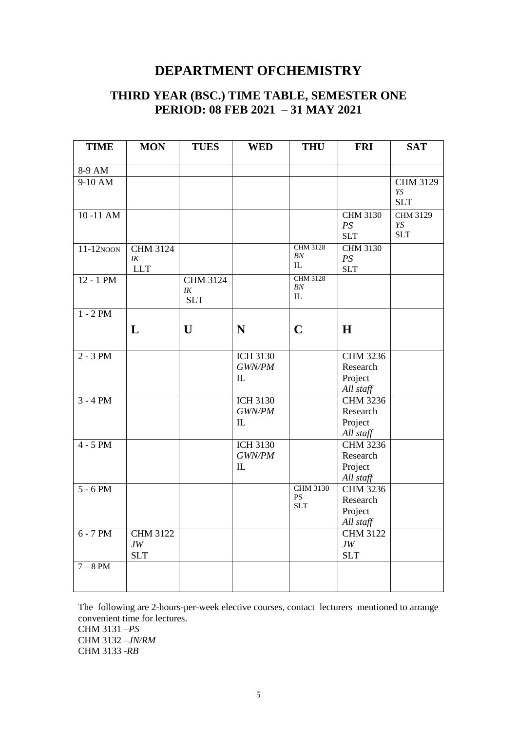#### **THIRD YEAR (BSC.) TIME TABLE, SEMESTER ONE PERIOD: 08 FEB 2021 – 31 MAY 2021**

| <b>TIME</b>           | <b>MON</b>      | <b>TUES</b>     | <b>WED</b>      | <b>THU</b>       | <b>FRI</b>      | <b>SAT</b>      |
|-----------------------|-----------------|-----------------|-----------------|------------------|-----------------|-----------------|
|                       |                 |                 |                 |                  |                 |                 |
| 8-9 AM                |                 |                 |                 |                  |                 |                 |
| $9-10$ AM             |                 |                 |                 |                  |                 | <b>CHM 3129</b> |
|                       |                 |                 |                 |                  |                 | YS              |
|                       |                 |                 |                 |                  |                 | <b>SLT</b>      |
| $10 - 11$ AM          |                 |                 |                 |                  | <b>CHM 3130</b> | <b>CHM 3129</b> |
|                       |                 |                 |                 |                  | PS              | YS              |
|                       |                 |                 |                 |                  | <b>SLT</b>      | <b>SLT</b>      |
| $11-12$ NOON          | <b>CHM 3124</b> |                 |                 | <b>CHM 3128</b>  | <b>CHM 3130</b> |                 |
|                       | IK              |                 |                 | BN               | PS              |                 |
|                       | <b>LLT</b>      |                 |                 | ${\rm IL}$       | <b>SLT</b>      |                 |
| $12 - 1$ PM           |                 | <b>CHM 3124</b> |                 | <b>CHM 3128</b>  |                 |                 |
|                       |                 | $I\!K$          |                 | BN<br>${\rm IL}$ |                 |                 |
|                       |                 | <b>SLT</b>      |                 |                  |                 |                 |
| $1 - 2 PM$            |                 |                 |                 |                  |                 |                 |
|                       | L               | $\mathbf{U}$    | N               | $\mathbf C$      | H               |                 |
|                       |                 |                 |                 |                  |                 |                 |
|                       |                 |                 |                 |                  |                 |                 |
| $\overline{2}$ - 3 PM |                 |                 | <b>ICH 3130</b> |                  | <b>CHM 3236</b> |                 |
|                       |                 |                 | GWN/PM          |                  | Research        |                 |
|                       |                 |                 | IL              |                  | Project         |                 |
|                       |                 |                 |                 |                  | All staff       |                 |
| $3 - 4 PM$            |                 |                 | <b>ICH 3130</b> |                  | <b>CHM 3236</b> |                 |
|                       |                 |                 | GWN/PM          |                  | Research        |                 |
|                       |                 |                 | ${\rm IL}$      |                  | Project         |                 |
|                       |                 |                 |                 |                  | All staff       |                 |
| $4 - 5 PM$            |                 |                 | <b>ICH 3130</b> |                  | <b>CHM 3236</b> |                 |
|                       |                 |                 | GWN/PM          |                  | Research        |                 |
|                       |                 |                 | IL              |                  | Project         |                 |
|                       |                 |                 |                 |                  | All staff       |                 |
| $5 - 6 PM$            |                 |                 |                 | <b>CHM 3130</b>  | <b>CHM 3236</b> |                 |
|                       |                 |                 |                 | <b>PS</b>        | Research        |                 |
|                       |                 |                 |                 | <b>SLT</b>       | Project         |                 |
|                       |                 |                 |                 |                  | All staff       |                 |
| $6 - 7 PM$            | <b>CHM 3122</b> |                 |                 |                  | <b>CHM 3122</b> |                 |
|                       | $JW$            |                 |                 |                  | $JW$            |                 |
|                       | <b>SLT</b>      |                 |                 |                  | <b>SLT</b>      |                 |
| $7 - 8$ PM            |                 |                 |                 |                  |                 |                 |
|                       |                 |                 |                 |                  |                 |                 |
|                       |                 |                 |                 |                  |                 |                 |

The following are 2-hours-per-week elective courses, contact lecturers mentioned to arrange convenient time for lectures. CHM 3131 –*PS* CHM 3132 –*JN/RM* CHM 3133 -*RB*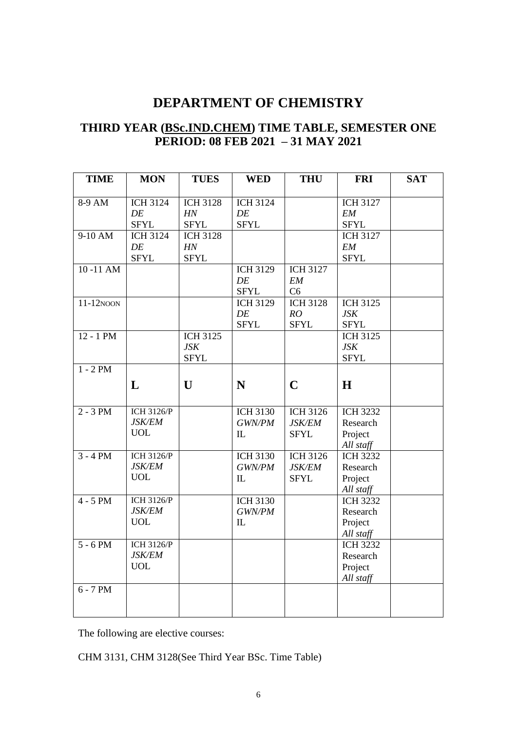#### **THIRD YEAR (BSc.IND.CHEM) TIME TABLE, SEMESTER ONE PERIOD: 08 FEB 2021 – 31 MAY 2021**

| <b>TIME</b>  | <b>MON</b>        | <b>TUES</b>     | <b>WED</b>      | <b>THU</b>      | <b>FRI</b>      | <b>SAT</b> |
|--------------|-------------------|-----------------|-----------------|-----------------|-----------------|------------|
|              |                   |                 |                 |                 |                 |            |
| 8-9 AM       | <b>ICH 3124</b>   | <b>ICH 3128</b> | <b>ICH 3124</b> |                 | <b>ICH 3127</b> |            |
|              | DE                | HN              | DE              |                 | EM              |            |
|              | <b>SFYL</b>       | <b>SFYL</b>     | <b>SFYL</b>     |                 | <b>SFYL</b>     |            |
| $9-10$ AM    | <b>ICH 3124</b>   | <b>ICH 3128</b> |                 |                 | <b>ICH 3127</b> |            |
|              | DE                | HN              |                 |                 | <b>EM</b>       |            |
|              | <b>SFYL</b>       | <b>SFYL</b>     |                 |                 | <b>SFYL</b>     |            |
| 10-11 AM     |                   |                 | <b>ICH 3129</b> | <b>ICH 3127</b> |                 |            |
|              |                   |                 | DE              | EM              |                 |            |
|              |                   |                 | <b>SFYL</b>     | C6              |                 |            |
| $11-12$ NOON |                   |                 | <b>ICH 3129</b> | <b>ICH 3128</b> | <b>ICH 3125</b> |            |
|              |                   |                 | DE              | RO              | <b>JSK</b>      |            |
|              |                   |                 | <b>SFYL</b>     | <b>SFYL</b>     | <b>SFYL</b>     |            |
| $12 - 1$ PM  |                   | <b>ICH 3125</b> |                 |                 | <b>ICH 3125</b> |            |
|              |                   | <b>JSK</b>      |                 |                 | <b>JSK</b>      |            |
|              |                   | <b>SFYL</b>     |                 |                 | <b>SFYL</b>     |            |
| $1 - 2 PM$   |                   |                 |                 |                 |                 |            |
|              | L                 | U               | N               | $\mathbf C$     | H               |            |
|              |                   |                 |                 |                 |                 |            |
|              |                   |                 |                 |                 |                 |            |
| $2 - 3 PM$   | <b>ICH 3126/P</b> |                 | <b>ICH 3130</b> | <b>ICH 3126</b> | <b>ICH 3232</b> |            |
|              | <b>JSK/EM</b>     |                 | GWN/PM          | <b>JSK/EM</b>   | Research        |            |
|              | <b>UOL</b>        |                 | IL              | <b>SFYL</b>     | Project         |            |
|              |                   |                 |                 |                 | All staff       |            |
| $3 - 4 PM$   | <b>ICH 3126/P</b> |                 | <b>ICH 3130</b> | <b>ICH 3126</b> | <b>ICH 3232</b> |            |
|              | <b>JSK/EM</b>     |                 | GWN/PM          | <b>JSK/EM</b>   | Research        |            |
|              | <b>UOL</b>        |                 | $\mathbf{I}$    | <b>SFYL</b>     | Project         |            |
|              |                   |                 |                 |                 | All staff       |            |
| $4 - 5$ PM   | <b>ICH 3126/P</b> |                 | <b>ICH 3130</b> |                 | <b>ICH 3232</b> |            |
|              | <b>JSK/EM</b>     |                 | GWN/PM          |                 | Research        |            |
|              | <b>UOL</b>        |                 | $\mathbb{L}$    |                 | Project         |            |
|              |                   |                 |                 |                 | All staff       |            |
| $5 - 6 PM$   | <b>ICH 3126/P</b> |                 |                 |                 | <b>ICH 3232</b> |            |
|              | <b>JSK/EM</b>     |                 |                 |                 | Research        |            |
|              | <b>UOL</b>        |                 |                 |                 | Project         |            |
|              |                   |                 |                 |                 | All staff       |            |
| $6 - 7 PM$   |                   |                 |                 |                 |                 |            |
|              |                   |                 |                 |                 |                 |            |
|              |                   |                 |                 |                 |                 |            |

The following are elective courses:

CHM 3131, CHM 3128(See Third Year BSc. Time Table)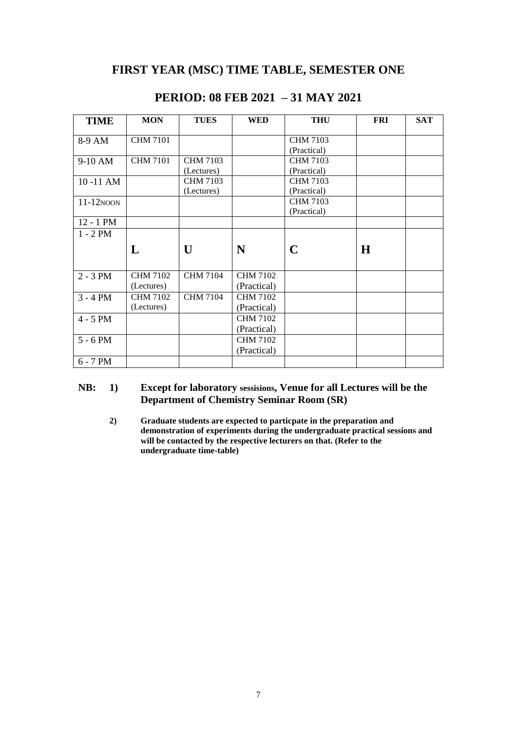#### **FIRST YEAR (MSC) TIME TABLE, SEMESTER ONE**

| <b>TIME</b>  | <b>MON</b>      | <b>TUES</b>     | <b>WED</b>      | <b>THU</b>      | <b>FRI</b> | <b>SAT</b> |
|--------------|-----------------|-----------------|-----------------|-----------------|------------|------------|
| 8-9 AM       | <b>CHM 7101</b> |                 |                 | <b>CHM 7103</b> |            |            |
|              |                 |                 |                 | (Practical)     |            |            |
| 9-10 AM      | <b>CHM 7101</b> | <b>CHM 7103</b> |                 | <b>CHM 7103</b> |            |            |
|              |                 | (Lectures)      |                 | (Practical)     |            |            |
| 10-11 AM     |                 | <b>CHM 7103</b> |                 | <b>CHM 7103</b> |            |            |
|              |                 | (Lectures)      |                 | (Practical)     |            |            |
| $11-12N$ OON |                 |                 |                 | <b>CHM 7103</b> |            |            |
|              |                 |                 |                 | (Practical)     |            |            |
| 12 - 1 PM    |                 |                 |                 |                 |            |            |
| $1 - 2 PM$   |                 |                 |                 |                 |            |            |
|              | L               | U               | N               | $\mathbf C$     | H          |            |
| $2 - 3 PM$   | <b>CHM 7102</b> | <b>CHM 7104</b> | <b>CHM 7102</b> |                 |            |            |
|              | (Lectures)      |                 | (Practical)     |                 |            |            |
| $3 - 4 PM$   | <b>CHM 7102</b> | <b>CHM 7104</b> | <b>CHM 7102</b> |                 |            |            |
|              | (Lectures)      |                 | (Practical)     |                 |            |            |
| $4 - 5$ PM   |                 |                 | <b>CHM 7102</b> |                 |            |            |
|              |                 |                 | (Practical)     |                 |            |            |
| $5 - 6 PM$   |                 |                 | <b>CHM 7102</b> |                 |            |            |
|              |                 |                 | (Practical)     |                 |            |            |
| $6 - 7 PM$   |                 |                 |                 |                 |            |            |

#### **PERIOD: 08 FEB 2021 – 31 MAY 2021**

#### **NB: 1) Except for laboratory sessisions, Venue for all Lectures will be the Department of Chemistry Seminar Room (SR)**

**2) Graduate students are expected to particpate in the preparation and demonstration of experiments during the undergraduate practical sessions and will be contacted by the respective lecturers on that. (Refer to the undergraduate time-table)**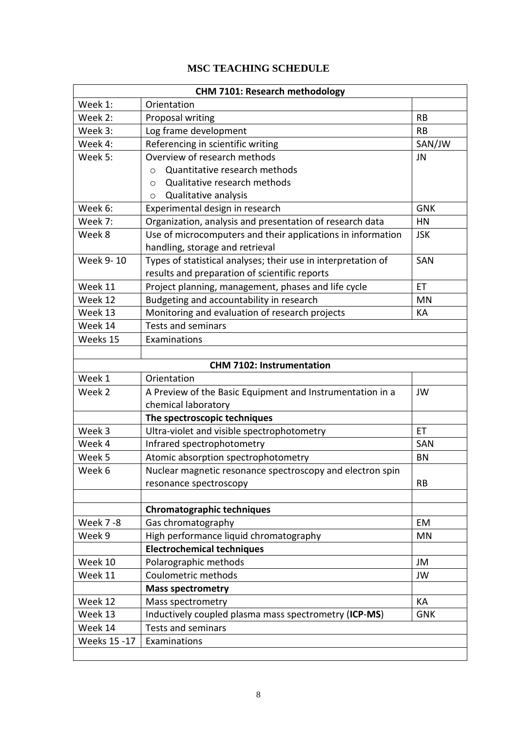#### **MSC TEACHING SCHEDULE**

|                 | <b>CHM 7101: Research methodology</b>                         |            |
|-----------------|---------------------------------------------------------------|------------|
| Week 1:         | Orientation                                                   |            |
| Week 2:         | Proposal writing                                              | <b>RB</b>  |
| Week 3:         | Log frame development                                         | <b>RB</b>  |
| Week 4:         | Referencing in scientific writing                             | SAN/JW     |
| Week 5:         | Overview of research methods                                  | JN         |
|                 | Quantitative research methods<br>$\circ$                      |            |
|                 | Qualitative research methods<br>$\circ$                       |            |
|                 | Qualitative analysis<br>$\circ$                               |            |
| Week 6:         | Experimental design in research                               | <b>GNK</b> |
| Week 7:         | Organization, analysis and presentation of research data      | HN         |
| Week 8          | Use of microcomputers and their applications in information   | <b>JSK</b> |
|                 | handling, storage and retrieval                               |            |
| Week 9-10       | Types of statistical analyses; their use in interpretation of | SAN        |
|                 | results and preparation of scientific reports                 |            |
| Week 11         | Project planning, management, phases and life cycle           | <b>ET</b>  |
| Week 12         | Budgeting and accountability in research                      | MN         |
| Week 13         | Monitoring and evaluation of research projects                | KА         |
| Week 14         | <b>Tests and seminars</b>                                     |            |
| Weeks 15        | Examinations                                                  |            |
|                 |                                                               |            |
|                 | <b>CHM 7102: Instrumentation</b>                              |            |
| Week 1          | Orientation                                                   |            |
| Week 2          | A Preview of the Basic Equipment and Instrumentation in a     | JW         |
|                 | chemical laboratory                                           |            |
|                 | The spectroscopic techniques                                  |            |
| Week 3          | Ultra-violet and visible spectrophotometry                    | ET         |
| Week 4          | Infrared spectrophotometry                                    | SAN        |
| Week 5          | Atomic absorption spectrophotometry                           | <b>BN</b>  |
| Week 6          | Nuclear magnetic resonance spectroscopy and electron spin     |            |
|                 | resonance spectroscopy                                        | <b>RB</b>  |
|                 |                                                               |            |
|                 | <b>Chromatographic techniques</b>                             |            |
| <b>Week 7-8</b> | Gas chromatography                                            | EM         |
| Week 9          | High performance liquid chromatography                        | <b>MN</b>  |
|                 | <b>Electrochemical techniques</b>                             |            |
| Week 10         | Polarographic methods                                         | JM         |
| Week 11         | Coulometric methods                                           | JW         |
|                 | <b>Mass spectrometry</b>                                      |            |
| Week 12         | Mass spectrometry                                             | КA         |
| Week 13         | Inductively coupled plasma mass spectrometry (ICP-MS)         | <b>GNK</b> |
| Week 14         | <b>Tests and seminars</b>                                     |            |
| Weeks 15 - 17   | Examinations                                                  |            |
|                 |                                                               |            |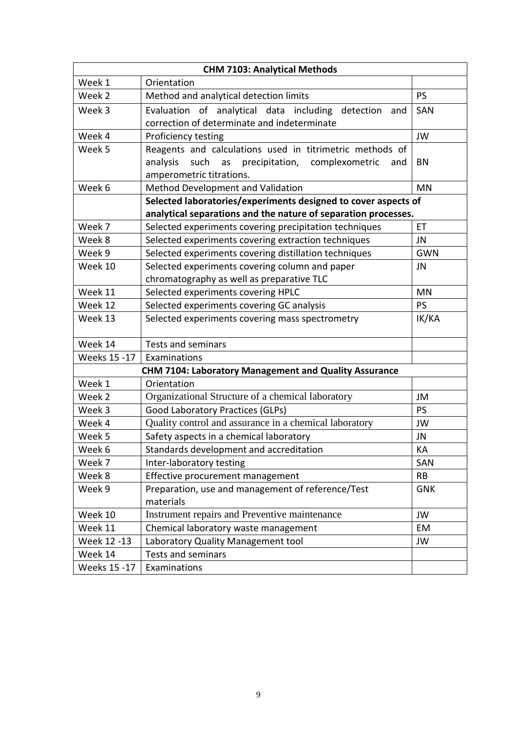| <b>CHM 7103: Analytical Methods</b> |                                                                                                                                                        |            |  |  |
|-------------------------------------|--------------------------------------------------------------------------------------------------------------------------------------------------------|------------|--|--|
| Week 1                              | Orientation                                                                                                                                            |            |  |  |
| Week 2                              | Method and analytical detection limits                                                                                                                 | PS         |  |  |
| Week 3                              | Evaluation of analytical data including detection<br>and<br>correction of determinate and indeterminate                                                | SAN        |  |  |
| Week 4                              | Proficiency testing                                                                                                                                    | JW         |  |  |
| Week 5                              | Reagents and calculations used in titrimetric methods of<br>precipitation, complexometric<br>analysis<br>such<br>as<br>and<br>amperometric titrations. | <b>BN</b>  |  |  |
| Week 6                              | Method Development and Validation                                                                                                                      | <b>MN</b>  |  |  |
|                                     | Selected laboratories/experiments designed to cover aspects of                                                                                         |            |  |  |
|                                     | analytical separations and the nature of separation processes.                                                                                         |            |  |  |
| Week 7                              | Selected experiments covering precipitation techniques                                                                                                 | ET         |  |  |
| Week 8                              | Selected experiments covering extraction techniques                                                                                                    | JN         |  |  |
| Week 9                              | Selected experiments covering distillation techniques                                                                                                  | <b>GWN</b> |  |  |
| Week 10                             | Selected experiments covering column and paper                                                                                                         | JN         |  |  |
|                                     | chromatography as well as preparative TLC                                                                                                              |            |  |  |
| Week 11                             | Selected experiments covering HPLC<br><b>MN</b>                                                                                                        |            |  |  |
| Week 12                             | Selected experiments covering GC analysis<br>PS                                                                                                        |            |  |  |
| Week 13                             | Selected experiments covering mass spectrometry                                                                                                        | IK/KA      |  |  |
| Week 14                             | Tests and seminars                                                                                                                                     |            |  |  |
| Weeks 15 - 17                       | Examinations                                                                                                                                           |            |  |  |
|                                     | CHM 7104: Laboratory Management and Quality Assurance                                                                                                  |            |  |  |
| Week 1                              | Orientation                                                                                                                                            |            |  |  |
| Week 2                              | Organizational Structure of a chemical laboratory                                                                                                      | JM         |  |  |
| Week 3                              | Good Laboratory Practices (GLPs)                                                                                                                       | PS         |  |  |
| Week 4                              | Quality control and assurance in a chemical laboratory                                                                                                 | JW         |  |  |
| Week 5                              | Safety aspects in a chemical laboratory                                                                                                                | JN         |  |  |
| Week 6                              | Standards development and accreditation                                                                                                                | КA         |  |  |
| Week 7                              | Inter-laboratory testing                                                                                                                               | SAN        |  |  |
| Week 8                              | Effective procurement management                                                                                                                       | <b>RB</b>  |  |  |
| Week 9                              | Preparation, use and management of reference/Test<br>materials                                                                                         | <b>GNK</b> |  |  |
| Week 10                             | Instrument repairs and Preventive maintenance                                                                                                          | JW         |  |  |
| Week 11                             | Chemical laboratory waste management                                                                                                                   | EM         |  |  |
| Week 12 -13                         | Laboratory Quality Management tool                                                                                                                     | JW         |  |  |
| Week 14                             | <b>Tests and seminars</b>                                                                                                                              |            |  |  |
| Weeks 15 -17                        | Examinations                                                                                                                                           |            |  |  |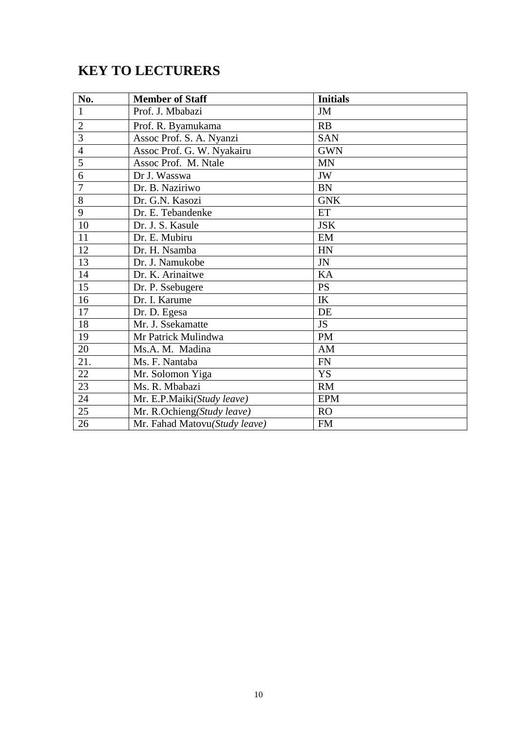# **KEY TO LECTURERS**

| No.            | <b>Member of Staff</b>        | <b>Initials</b> |
|----------------|-------------------------------|-----------------|
| $\mathbf{1}$   | Prof. J. Mbabazi              | JM              |
| $\overline{2}$ | Prof. R. Byamukama            | RB              |
| 3              | Assoc Prof. S. A. Nyanzi      | <b>SAN</b>      |
| $\overline{4}$ | Assoc Prof. G. W. Nyakairu    | <b>GWN</b>      |
| 5              | Assoc Prof. M. Ntale          | <b>MN</b>       |
| 6              | Dr J. Wasswa                  | JW              |
| 7              | Dr. B. Naziriwo               | <b>BN</b>       |
| 8              | Dr. G.N. Kasozi               | <b>GNK</b>      |
| 9              | Dr. E. Tebandenke             | ET              |
| 10             | Dr. J. S. Kasule              | <b>JSK</b>      |
| 11             | Dr. E. Mubiru                 | EM              |
| 12             | Dr. H. Nsamba                 | HN              |
| 13             | Dr. J. Namukobe               | JN              |
| 14             | Dr. K. Arinaitwe              | KA              |
| 15             | Dr. P. Ssebugere              | <b>PS</b>       |
| 16             | Dr. I. Karume                 | IK              |
| 17             | Dr. D. Egesa                  | DE              |
| 18             | Mr. J. Ssekamatte             | <b>JS</b>       |
| 19             | Mr Patrick Mulindwa           | PM              |
| 20             | Ms.A. M. Madina               | AM              |
| 21.            | Ms. F. Nantaba                | <b>FN</b>       |
| 22             | Mr. Solomon Yiga              | <b>YS</b>       |
| 23             | Ms. R. Mbabazi                | RM              |
| 24             | Mr. E.P.Maiki(Study leave)    | <b>EPM</b>      |
| 25             | Mr. R.Ochieng(Study leave)    | <b>RO</b>       |
| 26             | Mr. Fahad Matovu(Study leave) | <b>FM</b>       |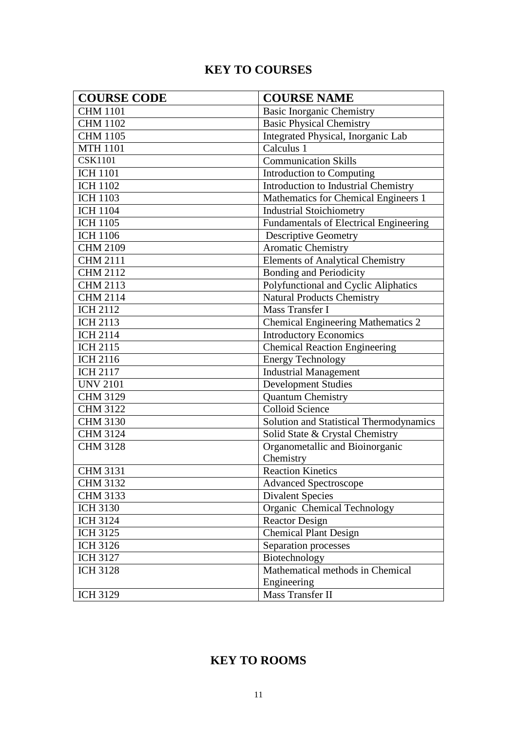### **KEY TO COURSES**

| <b>COURSE CODE</b> | <b>COURSE NAME</b>                          |
|--------------------|---------------------------------------------|
| <b>CHM 1101</b>    | <b>Basic Inorganic Chemistry</b>            |
| <b>CHM 1102</b>    | <b>Basic Physical Chemistry</b>             |
| <b>CHM 1105</b>    | Integrated Physical, Inorganic Lab          |
| <b>MTH 1101</b>    | Calculus 1                                  |
| <b>CSK1101</b>     | <b>Communication Skills</b>                 |
| <b>ICH 1101</b>    | Introduction to Computing                   |
| <b>ICH 1102</b>    | <b>Introduction to Industrial Chemistry</b> |
| <b>ICH 1103</b>    | Mathematics for Chemical Engineers 1        |
| <b>ICH 1104</b>    | <b>Industrial Stoichiometry</b>             |
| <b>ICH 1105</b>    | Fundamentals of Electrical Engineering      |
| <b>ICH 1106</b>    | <b>Descriptive Geometry</b>                 |
| <b>CHM 2109</b>    | Aromatic Chemistry                          |
| <b>CHM 2111</b>    | <b>Elements of Analytical Chemistry</b>     |
| <b>CHM 2112</b>    | Bonding and Periodicity                     |
| <b>CHM 2113</b>    | Polyfunctional and Cyclic Aliphatics        |
| <b>CHM 2114</b>    | <b>Natural Products Chemistry</b>           |
| <b>ICH 2112</b>    | Mass Transfer I                             |
| <b>ICH 2113</b>    | <b>Chemical Engineering Mathematics 2</b>   |
| <b>ICH 2114</b>    | <b>Introductory Economics</b>               |
| <b>ICH 2115</b>    | <b>Chemical Reaction Engineering</b>        |
| <b>ICH 2116</b>    | <b>Energy Technology</b>                    |
| <b>ICH 2117</b>    | <b>Industrial Management</b>                |
| <b>UNV 2101</b>    | <b>Development Studies</b>                  |
| <b>CHM 3129</b>    | <b>Quantum Chemistry</b>                    |
| <b>CHM 3122</b>    | <b>Colloid Science</b>                      |
| <b>CHM 3130</b>    | Solution and Statistical Thermodynamics     |
| <b>CHM 3124</b>    | Solid State & Crystal Chemistry             |
| <b>CHM 3128</b>    | Organometallic and Bioinorganic             |
|                    | Chemistry                                   |
| <b>CHM 3131</b>    | <b>Reaction Kinetics</b>                    |
| <b>CHM 3132</b>    | <b>Advanced Spectroscope</b>                |
| <b>CHM 3133</b>    | <b>Divalent Species</b>                     |
| <b>ICH 3130</b>    | Organic Chemical Technology                 |
| <b>ICH 3124</b>    | <b>Reactor Design</b>                       |
| <b>ICH 3125</b>    | <b>Chemical Plant Design</b>                |
| <b>ICH 3126</b>    | Separation processes                        |
| <b>ICH 3127</b>    | Biotechnology                               |
| <b>ICH 3128</b>    | Mathematical methods in Chemical            |
|                    | Engineering                                 |
| <b>ICH 3129</b>    | Mass Transfer II                            |

### **KEY TO ROOMS**